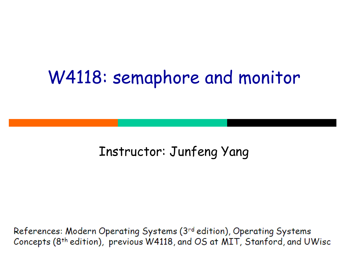#### W4118: semaphore and monitor

#### Instructor: Junfeng Yang

References: Modern Operating Systems (3rd edition), Operating Systems Concepts (8<sup>th</sup> edition), previous W4118, and OS at MIT, Stanford, and UWisc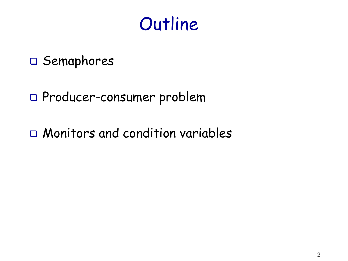### **Outline**

#### □ Semaphores

#### Producer-consumer problem

Monitors and condition variables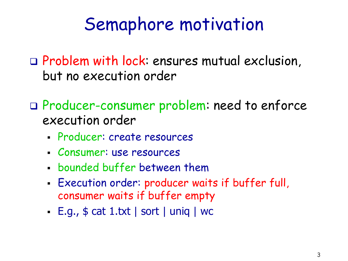### Semaphore motivation

 Problem with lock: ensures mutual exclusion, but no execution order

 Producer-consumer problem: need to enforce execution order

- Producer: create resources
- Consumer: use resources
- bounded buffer between them
- Execution order: producer waits if buffer full, consumer waits if buffer empty
- $\cdot$  E.g.,  $\oint$  cat 1.txt | sort | uniq | wc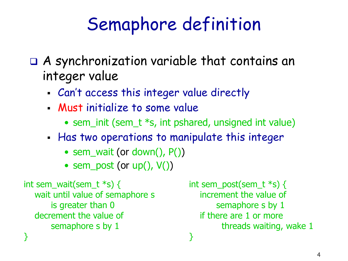# Semaphore definition

- A synchronization variable that contains an integer value
	- Can't access this integer value directly
	- Must initialize to some value
		- sem\_init (sem\_t \*s, int pshared, unsigned int value)
	- Has two operations to manipulate this integer
		- sem\_wait (or down(), P())
		- sem\_post (or  $up()$ ,  $V()$ )

```
int sem_wait(sem_t *s) {
   wait until value of semaphore s 
        is greater than 0
   decrement the value of 
        semaphore s by 1
}
```

```
int sem_post(sem_t *s) {
   increment the value of 
        semaphore s by 1
   if there are 1 or more 
         threads waiting, wake 1
}
```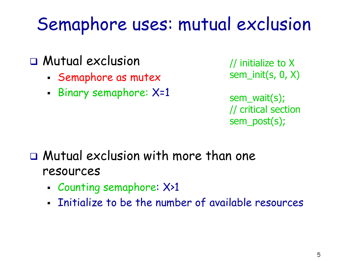## Semaphore uses: mutual exclusion

- Mutual exclusion
	- Semaphore as mutex
	- Binary semaphore: X=1

// initialize to X sem\_init(s, 0, X)

sem\_wait(s); // critical section sem\_post(s);

- Mutual exclusion with more than one resources
	- Counting semaphore: X>1
	- **Initialize to be the number of available resources**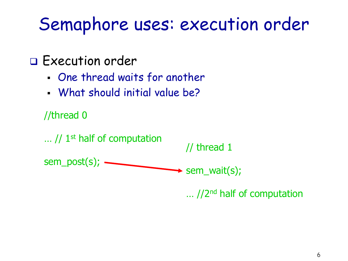### Semaphore uses: execution order

#### Execution order

- One thread waits for another
- What should initial value be?



 $\ldots$  //2<sup>nd</sup> half of computation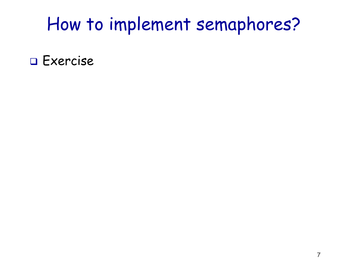### How to implement semaphores?

□ Exercise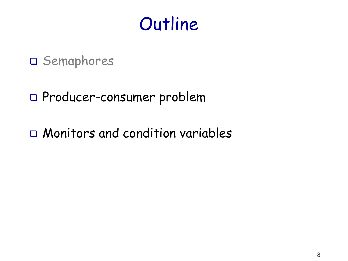### **Outline**

#### D Semaphores

#### Producer-consumer problem

Monitors and condition variables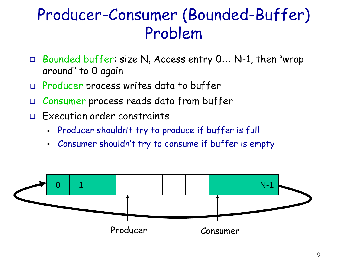#### Producer-Consumer (Bounded-Buffer) Problem

- □ Bounded buffer: size N, Access entry 0... N-1, then "wrap around" to 0 again
- Producer process writes data to buffer
- Consumer process reads data from buffer
- Execution order constraints
	- Producer shouldn't try to produce if buffer is full
	- Consumer shouldn't try to consume if buffer is empty

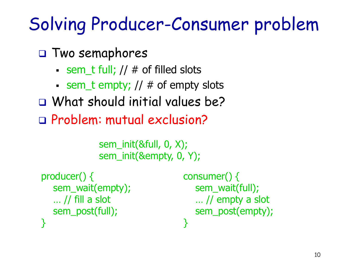# Solving Producer-Consumer problem

Two semaphores

- $\blacksquare$  sem\_t full; //  $\#$  of filled slots
- $\blacksquare$  sem\_t empty; //  $\#$  of empty slots
- What should initial values be?
- Problem: mutual exclusion?

```
sem_init(&full, 0, X);
sem_init(&empty, 0, Y);
```

```
producer() {
    sem_wait(empty);
    … // fill a slot
   sem_post(full);
}
```
consumer() { sem\_wait(full); … // empty a slot sem\_post(empty); }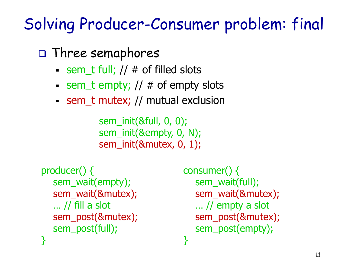#### Solving Producer-Consumer problem: final

 $\Box$  Three semaphores

- Sem t full;  $//$  # of filled slots
- $\blacksquare$  sem\_t empty; //  $\#$  of empty slots
- sem\_t mutex; // mutual exclusion

sem\_init(&full, 0, 0); sem\_init(&empty, 0, N); sem\_init(&mutex, 0, 1);

```
producer() {
   sem_wait(empty);
   sem_wait(&mutex);
   … // fill a slot
   sem_post(&mutex);
   sem_post(full);
}
```
consumer() { sem\_wait(full); sem\_wait(&mutex); … // empty a slot sem\_post(&mutex); sem\_post(empty); }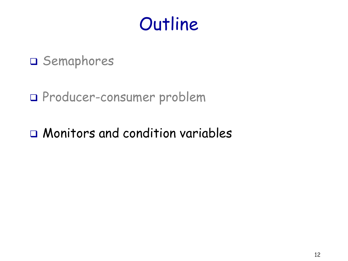### **Outline**

#### D Semaphores

#### Producer-consumer problem

#### Monitors and condition variables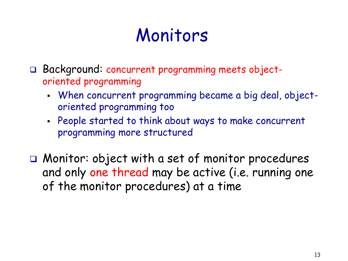## Monitors

- Background: concurrent programming meets objectoriented programming
	- When concurrent programming became a big deal, objectoriented programming too
	- People started to think about ways to make concurrent programming more structured
- Monitor: object with a set of monitor procedures and only one thread may be active (i.e. running one of the monitor procedures) at a time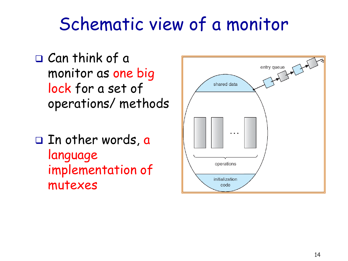### Schematic view of a monitor

- Can think of a monitor as one big lock for a set of operations/ methods
- $\square$  In other words, a language implementation of mutexes

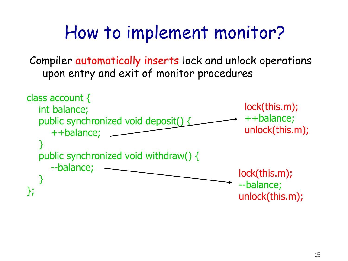## How to implement monitor?

Compiler automatically inserts lock and unlock operations upon entry and exit of monitor procedures

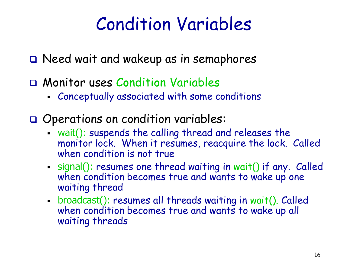## Condition Variables

Need wait and wakeup as in semaphores

- Monitor uses Condition Variables
	- Conceptually associated with some conditions
- Operations on condition variables:
	- wait(): suspends the calling thread and releases the monitor lock. When it resumes, reacquire the lock. Called when condition is not true
	- signal(): resumes one thread waiting in wait() if any. Called when condition becomes true and wants to wake up one waiting thread
	- broadcast(): resumes all threads waiting in wait(). Called when condition becomes true and wants to wake up all waiting threads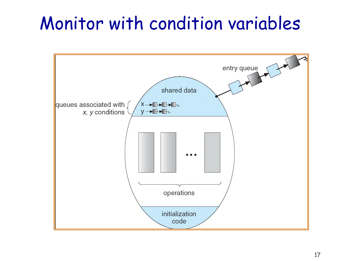## Monitor with condition variables

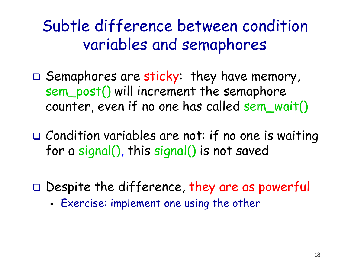Subtle difference between condition variables and semaphores

- $\Box$  Semaphores are sticky: they have memory, sem\_post() will increment the semaphore counter, even if no one has called sem\_wait()
- □ Condition variables are not: if no one is waiting for a signal(), this signal() is not saved
- $\Box$  Despite the difference, they are as powerful
	- Exercise: implement one using the other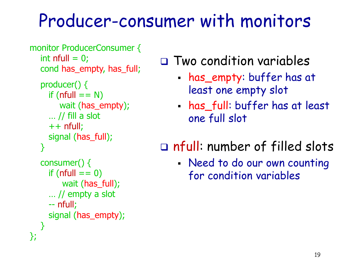### Producer-consumer with monitors

```
monitor ProducerConsumer {
  int nfull = 0;
   cond has_empty, has_full;
```

```
 producer() {
  if (nfull == N)
      wait (has_empty);
  \ldots // fill a slot
  ++ nfull;
   signal (has_full);
 }
```

```
 consumer() {
     if (nfull == 0)
          wait (has_full);
      … // empty a slot
      -- nfull;
      signal (has_empty);
   } 
};
```
#### Two condition variables

- has\_empty: buffer has at least one empty slot
- has\_full: buffer has at least one full slot

#### nfull: number of filled slots

 Need to do our own counting for condition variables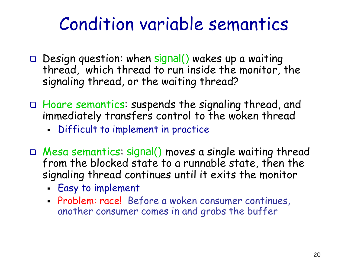### Condition variable semantics

- $\Box$  Design question: when signal() wakes up a waiting thread, which thread to run inside the monitor, the signaling thread, or the waiting thread?
- Hoare semantics: suspends the signaling thread, and immediately transfers control to the woken thread
	- Difficult to implement in practice
- Mesa semantics: signal() moves a single waiting thread from the blocked state to a runnable state, then the signaling thread continues until it exits the monitor
	- Easy to implement
	- Problem: race! Before a woken consumer continues, another consumer comes in and grabs the buffer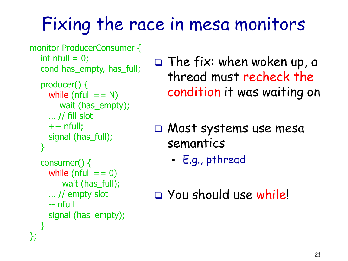# Fixing the race in mesa monitors

```
monitor ProducerConsumer {
  int nfull = 0;
   cond has_empty, has_full;
```

```
 producer() {
  while (nfull == N) wait (has_empty);
  \ldots // fill slot
  ++ nfull;
   signal (has_full);
 }
```

```
 consumer() {
     while (nfull == 0) wait (has_full);
      … // empty slot
      -- nfull
      signal (has_empty);
   } 
};
```
 $\square$  The fix: when woken up, a thread must recheck the condition it was waiting on

 Most systems use mesa semantics

E.g., pthread

You should use while!